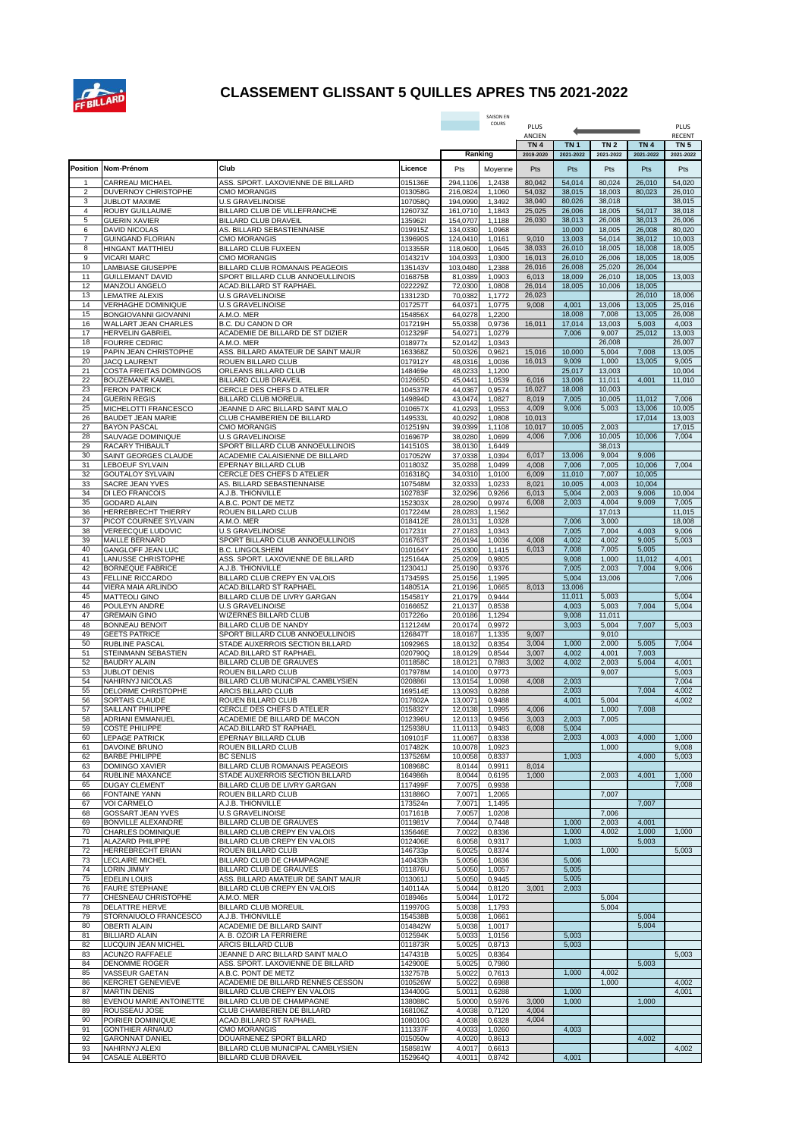

## **CLASSEMENT GLISSANT 5 QUILLES APRES TN5 2021-2022**

|                |                                                 |                                                                     |                    |                      | SAISON EN        |                              |                              |                              |                              |                                  |
|----------------|-------------------------------------------------|---------------------------------------------------------------------|--------------------|----------------------|------------------|------------------------------|------------------------------|------------------------------|------------------------------|----------------------------------|
|                |                                                 |                                                                     |                    |                      | COURS            | PLUS<br>PLUS                 |                              |                              |                              |                                  |
|                |                                                 |                                                                     |                    |                      |                  | ANCIEN                       |                              |                              |                              | <b>RECENT</b><br>TN <sub>5</sub> |
|                |                                                 |                                                                     |                    |                      | Ranking          | TN <sub>4</sub><br>2019-2020 | TN <sub>1</sub><br>2021-2022 | TN <sub>2</sub><br>2021-2022 | TN <sub>4</sub><br>2021-2022 | 2021-2022                        |
| Position       | Nom-Prénom                                      | Club                                                                | Licence            | Pts                  | Moyenne          | Pts                          | Pts                          | Pts                          | Pts                          | Pts                              |
| -1             | CARREAU MICHAEL                                 | ASS. SPORT. LAXOVIENNE DE BILLARD                                   | 015136E            | 294.1106             | 1,2438           | 80,042                       | 54,014                       | 80,024                       | 26,010                       | 54,020                           |
| $\overline{2}$ | DUVERNOY CHRISTOPHE                             | <b>CMO MORANGIS</b>                                                 | 013058G            | 216,0824             | 1,1060           | 54,032                       | 38,015                       | 18,003                       | 80,023                       | 26,010                           |
| 3              | JUBLOT MAXIME                                   | <b>U.S GRAVELINOISE</b>                                             | 107058Q            | 194,0990             | 1,3492           | 38,040                       | 80,026                       | 38,018                       |                              | 38,015                           |
| $\overline{4}$ | ROUBY GUILLAUME                                 | BILLARD CLUB DE VILLEFRANCHE                                        | 126073Z            | 161,0710             | 1,1843           | 25,025                       | 26,006                       | 18,005                       | 54,017                       | 38,018                           |
| 5<br>6         | <b>GUERIN XAVIER</b>                            | <b>BILLARD CLUB DRAVEIL</b>                                         | 1359621            | 154,0707             | 1,1188           | 26,030                       | 38,013<br>10,000             | 26,008                       | 38,013                       | 26,006                           |
| 7              | <b>DAVID NICOLAS</b><br><b>GUINGAND FLORIAN</b> | AS. BILLARD SEBASTIENNAISE<br><b>CMO MORANGIS</b>                   | 019915Z<br>139690S | 134,0330<br>124,0410 | 1,0968<br>1,0161 | 9,010                        | 13,003                       | 18,005<br>54,014             | 26,008<br>38,012             | 80,020<br>10,003                 |
| 8              | HINGANT MATTHIEU                                | BILLARD CLUB FUXEEN                                                 | 013355R            | 118,0600             | 1,0645           | 38,033                       | 26,010                       | 18,005                       | 18,008                       | 18,005                           |
| 9              | <b>VICARI MARC</b>                              | <b>CMO MORANGIS</b>                                                 | 014321V            | 104,0393             | 1,0300           | 16,013                       | 26,010                       | 26,006                       | 18,005                       | 18,005                           |
| 10             | <b>LAMBIASE GIUSEPPE</b>                        | <b>BILLARD CLUB ROMANAIS PEAGEOIS</b>                               | 135143V            | 103.0480             | 1,2388           | 26,016                       | 26,008                       | 25,020                       | 26,004                       |                                  |
| 11<br>12       | <b>GUILLEMANT DAVID</b><br>MANZOLI ANGELO       | SPORT BILLARD CLUB ANNOEULLINOIS<br>ACAD.BILLARD ST RAPHAEL         | 016875B<br>022229Z | 81,0389<br>72,0300   | 1,0903<br>1,0808 | 6,013<br>26,014              | 18,009<br>18,005             | 26,010<br>10,006             | 18,005<br>18,005             | 13,003                           |
| 13             | LEMATRE ALEXIS                                  | <b>U.S GRAVELINOISE</b>                                             | 133123D            | 70,0382              | 1,1772           | 26,023                       |                              |                              | 26,010                       | 18,006                           |
| 14             | VERHAGHE DOMINIQUE                              | <b>U.S GRAVELINOISE</b>                                             | 017257T            | 64,0371              | 1,0775           | 9,008                        | 4,001                        | 13,006                       | 13,005                       | 25,016                           |
| 15             | <b>BONGIOVANNI GIOVANNI</b>                     | A.M.O. MER                                                          | 154856X            | 64,0278              | 1,2200           |                              | 18,008                       | 7,008                        | 13,005                       | 26,008                           |
| 16             | WALLART JEAN CHARLES                            | B.C. DU CANON D OR                                                  | 017219H            | 55,0338              | 0,9736           | 16,011                       | 17,014                       | 13,003                       | 5,003                        | 4,003                            |
| 17<br>18       | <b>HERVELIN GABRIEL</b>                         | ACADEMIE DE BILLARD DE ST DIZIER                                    | 012329F            | 54,0271              | 1,0279           |                              | 7,006                        | 9,007                        | 25,012                       | 13,003                           |
| 19             | <b>FOURRE CEDRIC</b><br>PAPIN JEAN CHRISTOPHE   | A.M.O. MER<br>ASS. BILLARD AMATEUR DE SAINT MAUR                    | 018977x<br>163368Z | 52,0142<br>50,0326   | 1,0343<br>0,9621 | 15,016                       | 10,000                       | 26,008<br>5,004              | 7,008                        | 26,007<br>13,005                 |
| 20             | <b>JACQ LAURENT</b>                             | ROUEN BILLARD CLUB                                                  | 017912Y            | 48,0316              | 1,0036           | 16,013                       | 9,009                        | 1,000                        | 13,005                       | 9,005                            |
| 21             | <b>COSTA FREITAS DOMINGOS</b>                   | ORLEANS BILLARD CLUB                                                | 148469e            | 48,0233              | 1,1200           |                              | 25,017                       | 13,003                       |                              | 10,004                           |
| 22             | <b>BOUZEMANE KAMEL</b>                          | BILLARD CLUB DRAVEIL                                                | 012665D            | 45.0441              | 1,0539           | 6,016                        | 13,006                       | 11,011                       | 4,001                        | 11,010                           |
| 23             | <b>FERON PATRICK</b>                            | CERCLE DES CHEFS D ATELIER                                          | 104537R            | 44,0367              | 0,9574           | 16,027                       | 18,008                       | 10,003                       |                              |                                  |
| 24<br>25       | <b>GUERIN REGIS</b><br>MICHELOTTI FRANCESCO     | BILLARD CLUB MOREUIL<br>JEANNE D ARC BILLARD SAINT MALO             | 149894D<br>010657X | 43.0474<br>41,0293   | 1,0827<br>1,0553 | 8,019<br>4,009               | 7,005<br>9,006               | 10,005<br>5,003              | 11,012<br>13,006             | 7,006<br>10,005                  |
| 26             | <b>BAUDET JEAN MARIE</b>                        | CLUB CHAMBERIEN DE BILLARD                                          | 149533L            | 40,0292              | 1,0808           | 10,013                       |                              |                              | 17,014                       | 13,003                           |
| 27             | <b>BAYON PASCAL</b>                             | <b>CMO MORANGIS</b>                                                 | 012519N            | 39.0399              | 1,1108           | 10,017                       | 10,005                       | 2,003                        |                              | 17,015                           |
| 28             | SAUVAGE DOMINIQUE                               | <b>U.S GRAVELINOISE</b>                                             | 016967P            | 38,0280              | 1,0699           | 4,006                        | 7,006                        | 10,005                       | 10,006                       | 7,004                            |
| 29             | RACARY THIBAULT                                 | SPORT BILLARD CLUB ANNOEULLINOIS                                    | 141510S            | 38,0130              | 1,6449           |                              |                              | 38,013                       |                              |                                  |
| 30<br>31       | SAINT GEORGES CLAUDE<br>LEBOEUF SYLVAIN         | ACADEMIE CALAISIENNE DE BILLARD<br>EPERNAY BILLARD CLUB             | 017052W<br>011803Z | 37,0338<br>35,0288   | 1,0394<br>1,0499 | 6,017<br>4,008               | 13,006<br>7,006              | 9,004<br>7,005               | 9,006<br>10,006              | 7,004                            |
| 32             | <b>GOUTALOY SYLVAIN</b>                         | CERCLE DES CHEFS D ATELIER                                          | 016318Q            | 34,0310              | 1,0100           | 6,009                        | 11,010                       | 7,007                        | 10,005                       |                                  |
| 33             | SACRE JEAN YVES                                 | AS. BILLARD SEBASTIENNAISE                                          | 107548M            | 32,0333              | 1,0233           | 8,021                        | 10,005                       | 4,003                        | 10,004                       |                                  |
| 34             | DI LEO FRANCOIS                                 | A.J.B. THIONVILLE                                                   | 102783F            | 32,0296              | 0,9266           | 6,013                        | 5,004                        | 2,003                        | 9,006                        | 10,004                           |
| 35             | <b>GODARD ALAIN</b>                             | A.B.C. PONT DE METZ                                                 | 152303X            | 28,0290              | 0,9974           | 6,008                        | 2,003                        | 4,004                        | 9,009                        | 7,005                            |
| 36<br>37       | HERREBRECHT THIERRY<br>PICOT COURNEE SYLVAIN    | ROUEN BILLARD CLUB<br>A.M.O. MER                                    | 017224M<br>018412E | 28,0283<br>28,0131   | 1,1562<br>1,0328 |                              | 7,006                        | 17,013<br>3,000              |                              | 11,015<br>18,008                 |
| 38             | VEREECQUE LUDOVIC                               | <b>U.S GRAVELINOISE</b>                                             | 017231t            | 27,0183              | 1,0343           |                              | 7,005                        | 7,004                        | 4,003                        | 9,006                            |
| 39             | <b>MAILLE BERNARD</b>                           | SPORT BILLARD CLUB ANNOEULLINOIS                                    | 016763T            | 26,0194              | 1,0036           | 4,008                        | 4,002                        | 4,002                        | 9,005                        | 5,003                            |
| 40             | GANGLOFF JEAN LUC                               | <b>B.C. LINGOLSHEIM</b>                                             | 010164Y            | 25,0300              | 1,1415           | 6,013                        | 7,008                        | 7,005                        | 5,005                        |                                  |
| 41             | LANUSSE CHRISTOPHE                              | ASS. SPORT. LAXOVIENNE DE BILLARD                                   | 125164A            | 25,0209              | 0,9805           |                              | 9,008                        | 1,000                        | 11,012                       | 4,001                            |
| 42             | <b>BORNEQUE FABRICE</b>                         | A.J.B. THIONVILLE                                                   | 123041J            | 25,0190              | 0,9376           |                              | 7,005                        | 2,003                        | 7,004                        | 9,006                            |
| 43<br>44       | FELLINE RICCARDO<br>VIERA MAIA ARLINDO          | BILLARD CLUB CREPY EN VALOIS<br>ACAD.BILLARD ST RAPHAEL             | 173459S<br>148051A | 25,0156<br>21,0196   | 1,1995<br>1,0665 | 8,013                        | 5,004<br>13,006              | 13,006                       |                              | 7,006                            |
| 45             | <b>MATTEOLI GINO</b>                            | BILLARD CLUB DE LIVRY GARGAN                                        | 154581Y            | 21,0179              | 0,9444           |                              | 11,011                       | 5,003                        |                              | 5,004                            |
| 46             | POULEYN ANDRE                                   | <b>U.S GRAVELINOISE</b>                                             | 016665Z            | 21,0137              | 0,8538           |                              | 4,003                        | 5,003                        | 7,004                        | 5,004                            |
| 47             | <b>GREMAIN GINO</b>                             | WIZERNES BILLARD CLUB                                               | 0172260            | 20,0186              | 1,1294           |                              | 9,008                        | 11,011                       |                              |                                  |
| 48             | <b>BONNEAU BENOIT</b>                           | BILLARD CLUB DE NANDY                                               | 112124M            | 20,0174              | 0,9972           |                              | 3,003                        | 5,004                        | 7,007                        | 5,003                            |
| 49<br>50       | <b>GEETS PATRICE</b><br>RUBLINE PASCAL          | SPORT BILLARD CLUB ANNOEULLINOIS<br>STADE AUXERROIS SECTION BILLARD | 126847T<br>109296S | 18,0167<br>18,0132   | 1,1335<br>0,8354 | 9,007<br>3,004               | 1,000                        | 9,010<br>2,000               | 5,005                        | 7,004                            |
| 51             | STEINMANN SEBASTIEN                             | ACAD.BILLARD ST RAPHAEL                                             | 020790Q            | 18,0129              | 0,8544           | 3,007                        | 4,002                        | 4,001                        | 7,003                        |                                  |
| 52             | <b>BAUDRY ALAIN</b>                             | <b>BILLARD CLUB DE GRAUVES</b>                                      | 011858C            | 18,0121              | 0,7883           | 3,002                        | 4,002                        | 2,003                        | 5,004                        | 4,001                            |
| 53             | <b>JUBLOT DENIS</b>                             | ROUEN BILLARD CLUB                                                  | 017978M            | 14,0100              | 0,9773           |                              |                              | 9,007                        |                              | 5,003                            |
| 54             | NAHIRNYJ NICOLAS                                | BILLARD CLUB MUNICIPAL CAMBLYSIEN                                   | 0208861            | 13,0154              | 1,0098           | 4,008                        | 2,003                        |                              |                              | 7,004                            |
| 55<br>56       | DELORME CHRISTOPHE<br><b>SORTAIS CLAUDE</b>     | ARCIS BILLARD CLUB<br>ROUEN BILLARD CLUB                            | 169514E<br>017602A | 13,0093<br>13,0071   | 0,8288<br>0,9488 |                              | 2,003<br>4,001               | 5,004                        | 7,004                        | 4,002<br>4,002                   |
| 57             | SAILLANT PHILIPPE                               | CERCLE DES CHEFS D ATELIER                                          | 015832Y            | 12,0138              | 1,0995           | 4,006                        |                              | 1,000                        | 7,008                        |                                  |
| 58             | ADRIANI EMMANUEL                                | ACADEMIE DE BILLARD DE MACON                                        | 012396U            | 12,0113              | 0,9456           | 3,003                        | 2,003                        | 7,005                        |                              |                                  |
| 59             | <b>COSTE PHILIPPE</b>                           | ACAD.BILLARD ST RAPHAEL                                             | 125938U            | 11,0113              | 0,9483           | 6,008                        | 5,004                        |                              |                              |                                  |
| 60             | <b>LEPAGE PATRICK</b>                           | EPERNAY BILLARD CLUB                                                | 109101F            | 11,0067              | 0,8338           |                              | 2,003                        | 4,003                        | 4,000                        | 1,000                            |
| 61<br>62       | DAVOINE BRUNO<br><b>BARBE PHILIPPE</b>          | ROUEN BILLARD CLUB<br><b>BC SENLIS</b>                              | 017482K<br>137526M | 10,0078<br>10,0058   | 1,0923<br>0,8337 |                              | 1,003                        | 1,000                        | 4,000                        | 9,008<br>5,003                   |
| 63             | <b>DOMINGO XAVIER</b>                           | BILLARD CLUB ROMANAIS PEAGEOIS                                      | 108968C            | 8,0144               | 0,9911           | 8,014                        |                              |                              |                              |                                  |
| 64             | RUBLINE MAXANCE                                 | STADE AUXERROIS SECTION BILLARD                                     | 164986h            | 8,0044               | 0,6195           | 1,000                        |                              | 2,003                        | 4,001                        | 1,000                            |
| 65             | <b>DUGAY CLEMENT</b>                            | BILLARD CLUB DE LIVRY GARGAN                                        | 117499F            | 7,0075               | 0,9938           |                              |                              |                              |                              | 7,008                            |
| 66             | FONTAINE YANN                                   | ROUEN BILLARD CLUB                                                  | 131886O            | 7,0071               | 1,2065           |                              |                              | 7,007                        |                              |                                  |
| 67<br>68       | <b>VOI CARMELO</b><br>GOSSART JEAN YVES         | A.J.B. THIONVILLE<br><b>U.S GRAVELINOISE</b>                        | 173524n            | 7,0071<br>7,0057     | 1,1495<br>1,0208 |                              |                              | 7,006                        | 7,007                        |                                  |
| 69             | <b>BONVILLE ALEXANDRE</b>                       | BILLARD CLUB DE GRAUVES                                             | 017161B<br>011981V | 7,0044               | 0,7448           |                              | 1,000                        | 2,003                        | 4,001                        |                                  |
| 70             | CHARLES DOMINIQUE                               | BILLARD CLUB CREPY EN VALOIS                                        | 135646E            | 7,0022               | 0,8336           |                              | 1,000                        | 4,002                        | 1,000                        | 1,000                            |
| 71             | ALAZARD PHILIPPE                                | BILLARD CLUB CREPY EN VALOIS                                        | 012406E            | 6,0058               | 0,9317           |                              | 1,003                        |                              | 5,003                        |                                  |
| 72             | HERREBRECHT ERIAN                               | ROUEN BILLARD CLUB                                                  | 146733p            | 6,0025               | 0,8374           |                              |                              | 1,000                        |                              | 5,003                            |
| 73             | <b>LECLAIRE MICHEL</b>                          | BILLARD CLUB DE CHAMPAGNE                                           | 140433h            | 5,0056               | 1,0636           |                              | 5,006                        |                              |                              |                                  |
| 74<br>75       | <b>LORIN JIMMY</b><br>EDELIN LOUIS              | BILLARD CLUB DE GRAUVES<br>ASS. BILLARD AMATEUR DE SAINT MAUR       | 011876U<br>013061J | 5,0050<br>5,0050     | 1,0057<br>0,9445 |                              | 5,005<br>5,005               |                              |                              |                                  |
| 76             | <b>FAURE STEPHANE</b>                           | BILLARD CLUB CREPY EN VALOIS                                        | 140114A            | 5,0044               | 0,8120           | 3,001                        | 2,003                        |                              |                              |                                  |
| 77             | CHESNEAU CHRISTOPHE                             | A.M.O. MER                                                          | 018946s            | 5,0044               | 1,0172           |                              |                              | 5,004                        |                              |                                  |
| 78             | DELATTRE HERVE                                  | BILLARD CLUB MOREUIL                                                | 119970G            | 5,0038               | 1,1793           |                              |                              | 5,004                        |                              |                                  |
| 79             | STORNAIUOLO FRANCESCO                           | A.J.B. THIONVILLE                                                   | 154538B            | 5,0038               | 1,0661           |                              |                              |                              | 5,004                        |                                  |
| 80<br>81       | <b>OBERTI ALAIN</b><br><b>BILLIARD ALAIN</b>    | ACADEMIE DE BILLARD SAINT                                           | 014842W            | 5,0038               | 1,0017           |                              | 5,003                        |                              | 5,004                        |                                  |
| 82             | LUCQUIN JEAN MICHEL                             | A. B. OZOIR LA FERRIERE<br>ARCIS BILLARD CLUB                       | 012594K<br>011873R | 5,0033<br>5,0025     | 1,0156<br>0,8713 |                              | 5,003                        |                              |                              |                                  |
| 83             | ACUNZO RAFFAELE                                 | JEANNE D ARC BILLARD SAINT MALO                                     | 147431B            | 5,0025               | 0,8364           |                              |                              |                              |                              | 5,003                            |
| 84             | DENOMME ROGER                                   | ASS. SPORT. LAXOVIENNE DE BILLARD                                   | 142900E            | 5,0025               | 0,7980           |                              |                              |                              | 5,003                        |                                  |
| 85             | VASSEUR GAETAN                                  | A.B.C. PONT DE METZ                                                 | 132757B            | 5,0022               | 0,7613           |                              | 1,000                        | 4,002                        |                              |                                  |
| 86             | <b>KERCRET GENEVIEVE</b>                        | ACADEMIE DE BILLARD RENNES CESSON                                   | 010526W            | 5,0022               | 0,6988           |                              |                              | 1,000                        |                              | 4,002                            |
| 87<br>88       | <b>MARTIN DENIS</b><br>EVENOU MARIE ANTOINETTE  | BILLARD CLUB CREPY EN VALOIS<br>BILLARD CLUB DE CHAMPAGNE           | 134400G<br>138088C | 5,0011<br>5,0000     | 0,6288<br>0,5976 | 3,000                        | 1,000<br>1,000               |                              | 1,000                        | 4,001                            |
| 89             | ROUSSEAU JOSE                                   | CLUB CHAMBERIEN DE BILLARD                                          | 168106Z            | 4,0038               | 0,7120           | 4,004                        |                              |                              |                              |                                  |
| 90             | POIRIER DOMINIQUE                               | ACAD.BILLARD ST RAPHAEL                                             | 108010G            | 4,0038               | 0,6328           | 4,004                        |                              |                              |                              |                                  |
| 91             | <b>GONTHIER ARNAUD</b>                          | <b>CMO MORANGIS</b>                                                 | 111337F            | 4,0033               | 1,0260           |                              | 4,003                        |                              |                              |                                  |
| 92             | <b>GARONNAT DANIEL</b>                          | DOUARNENEZ SPORT BILLARD                                            | 015050w            | 4,0020               | 0,8613           |                              |                              |                              | 4,002                        |                                  |
| 93<br>94       | NAHIRNYJ ALEXI<br>CASALE ALBERTO                | BILLARD CLUB MUNICIPAL CAMBLYSIEN<br>BILLARD CLUB DRAVEIL           | 158581W<br>152964Q | 4,0017<br>4,0011     | 0,6613<br>0,8742 |                              | 4,001                        |                              |                              | 4,002                            |
|                |                                                 |                                                                     |                    |                      |                  |                              |                              |                              |                              |                                  |